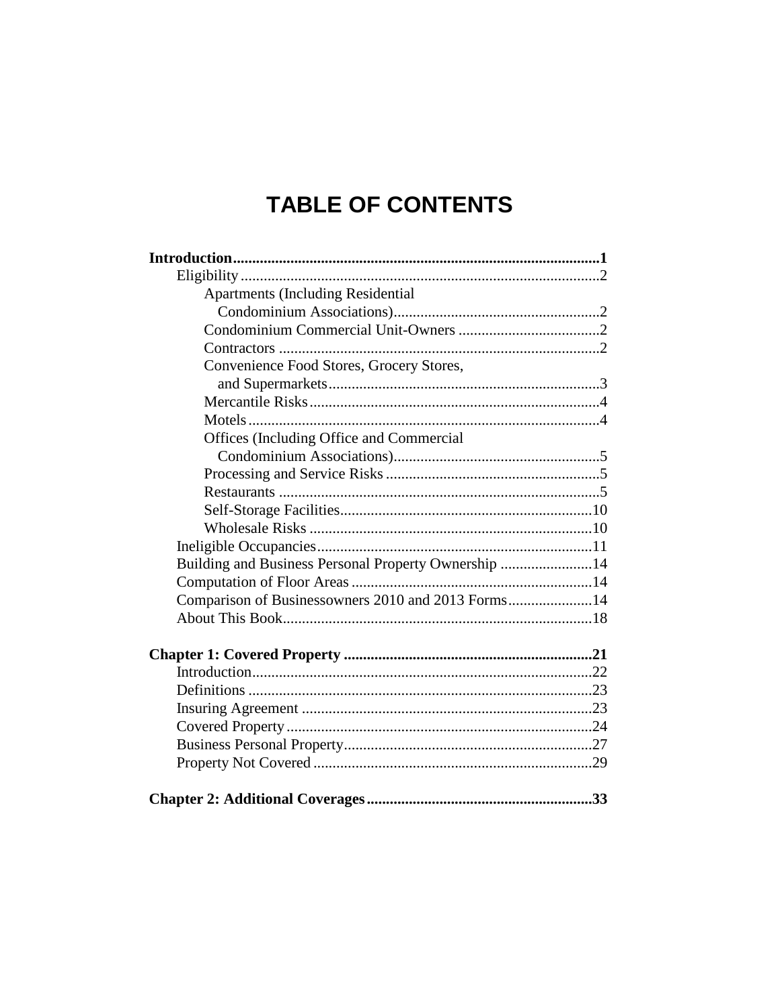## **TABLE OF CONTENTS**

| <b>Apartments (Including Residential</b>             |  |
|------------------------------------------------------|--|
|                                                      |  |
|                                                      |  |
|                                                      |  |
| Convenience Food Stores, Grocery Stores,             |  |
|                                                      |  |
|                                                      |  |
|                                                      |  |
| Offices (Including Office and Commercial             |  |
|                                                      |  |
|                                                      |  |
|                                                      |  |
|                                                      |  |
|                                                      |  |
|                                                      |  |
| Building and Business Personal Property Ownership 14 |  |
|                                                      |  |
| Comparison of Businessowners 2010 and 2013 Forms14   |  |
|                                                      |  |
|                                                      |  |
|                                                      |  |
|                                                      |  |
|                                                      |  |
|                                                      |  |
|                                                      |  |
|                                                      |  |
|                                                      |  |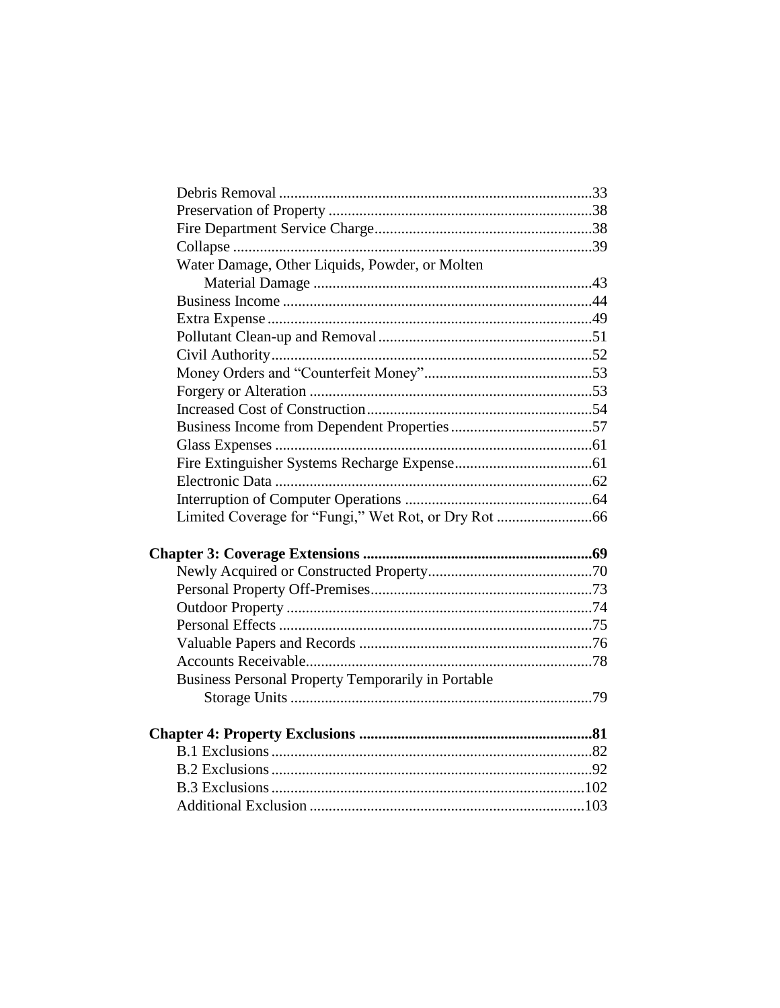| Water Damage, Other Liquids, Powder, or Molten            |  |
|-----------------------------------------------------------|--|
|                                                           |  |
|                                                           |  |
|                                                           |  |
|                                                           |  |
|                                                           |  |
|                                                           |  |
|                                                           |  |
|                                                           |  |
|                                                           |  |
|                                                           |  |
|                                                           |  |
|                                                           |  |
|                                                           |  |
|                                                           |  |
|                                                           |  |
|                                                           |  |
|                                                           |  |
|                                                           |  |
|                                                           |  |
|                                                           |  |
|                                                           |  |
| <b>Business Personal Property Temporarily in Portable</b> |  |
|                                                           |  |
|                                                           |  |
|                                                           |  |
|                                                           |  |
|                                                           |  |
|                                                           |  |
|                                                           |  |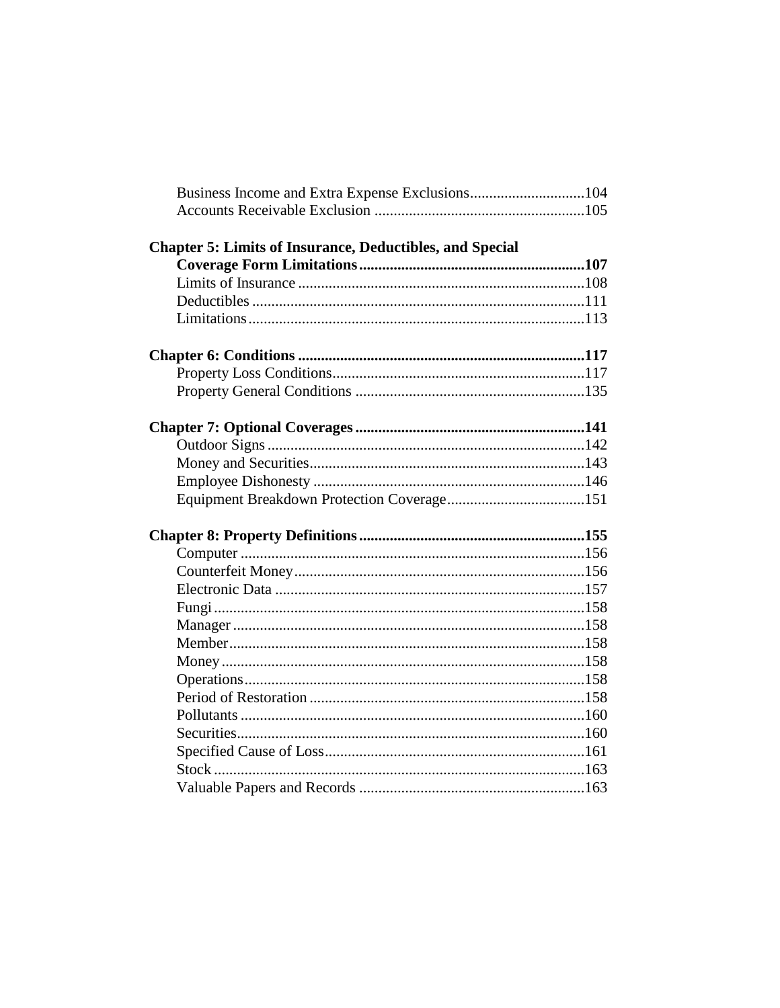| Business Income and Extra Expense Exclusions104                 |  |
|-----------------------------------------------------------------|--|
|                                                                 |  |
| <b>Chapter 5: Limits of Insurance, Deductibles, and Special</b> |  |
|                                                                 |  |
|                                                                 |  |
|                                                                 |  |
|                                                                 |  |
|                                                                 |  |
|                                                                 |  |
|                                                                 |  |
|                                                                 |  |
|                                                                 |  |
|                                                                 |  |
|                                                                 |  |
|                                                                 |  |
|                                                                 |  |
|                                                                 |  |
|                                                                 |  |
|                                                                 |  |
|                                                                 |  |
|                                                                 |  |
|                                                                 |  |
|                                                                 |  |
|                                                                 |  |
|                                                                 |  |
|                                                                 |  |
|                                                                 |  |
|                                                                 |  |
|                                                                 |  |
|                                                                 |  |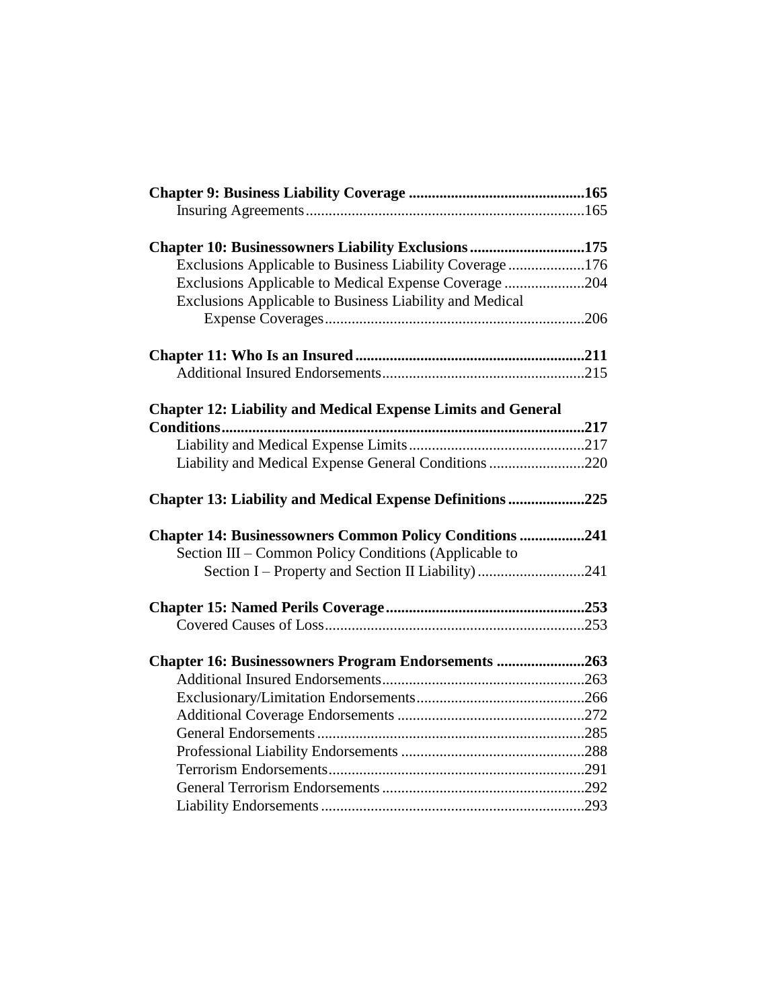| Chapter 10: Businessowners Liability Exclusions 175                 |  |
|---------------------------------------------------------------------|--|
| Exclusions Applicable to Business Liability Coverage176             |  |
| Exclusions Applicable to Medical Expense Coverage204                |  |
| Exclusions Applicable to Business Liability and Medical             |  |
|                                                                     |  |
|                                                                     |  |
|                                                                     |  |
| <b>Chapter 12: Liability and Medical Expense Limits and General</b> |  |
| Conditions                                                          |  |
|                                                                     |  |
| Liability and Medical Expense General Conditions 220                |  |
| Chapter 13: Liability and Medical Expense Definitions 225           |  |
| <b>Chapter 14: Businessowners Common Policy Conditions 241</b>      |  |
| Section III – Common Policy Conditions (Applicable to               |  |
| Section I – Property and Section II Liability) 241                  |  |
|                                                                     |  |
|                                                                     |  |
|                                                                     |  |
| Chapter 16: Businessowners Program Endorsements 263                 |  |
|                                                                     |  |
|                                                                     |  |
|                                                                     |  |
|                                                                     |  |
|                                                                     |  |
|                                                                     |  |
|                                                                     |  |
|                                                                     |  |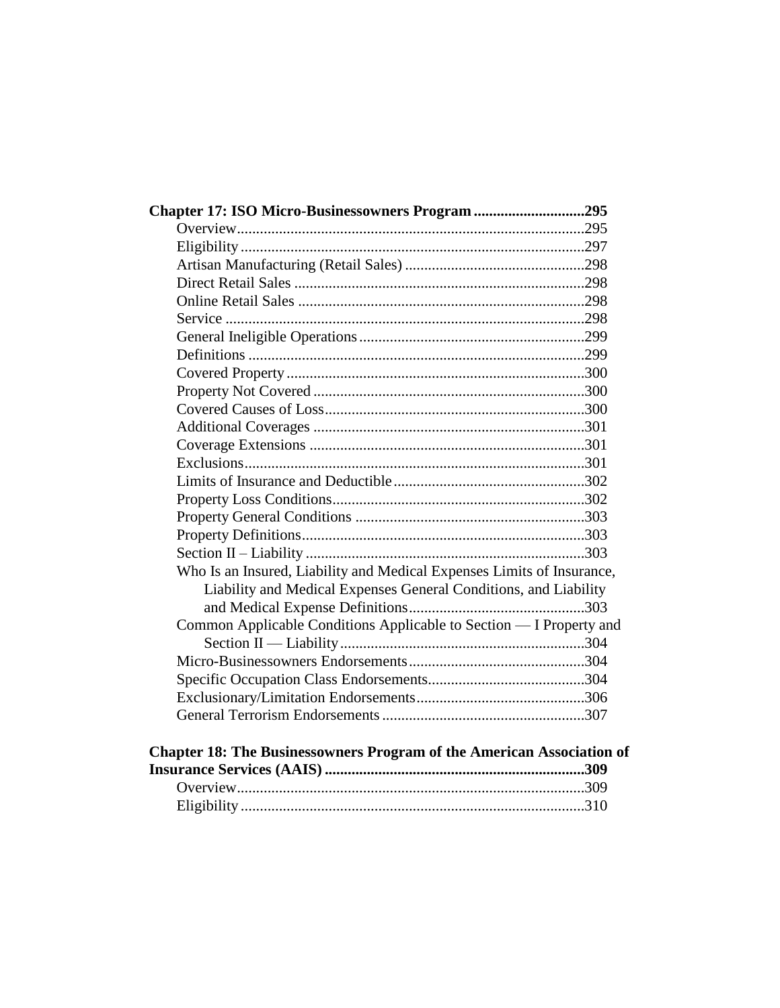| Chapter 17: ISO Micro-Businessowners Program 295                       |  |
|------------------------------------------------------------------------|--|
|                                                                        |  |
|                                                                        |  |
|                                                                        |  |
|                                                                        |  |
|                                                                        |  |
|                                                                        |  |
|                                                                        |  |
|                                                                        |  |
|                                                                        |  |
|                                                                        |  |
|                                                                        |  |
|                                                                        |  |
|                                                                        |  |
|                                                                        |  |
|                                                                        |  |
|                                                                        |  |
|                                                                        |  |
|                                                                        |  |
|                                                                        |  |
| Who Is an Insured, Liability and Medical Expenses Limits of Insurance, |  |
| Liability and Medical Expenses General Conditions, and Liability       |  |
|                                                                        |  |
| Common Applicable Conditions Applicable to Section - I Property and    |  |
|                                                                        |  |
|                                                                        |  |
|                                                                        |  |
|                                                                        |  |
|                                                                        |  |
|                                                                        |  |

## **Chapter 18: The Businessowners Program of the American Association of Insurance Services (AAIS) ....................................................................309** Overview...........................................................................................309 Eligibility ..........................................................................................310